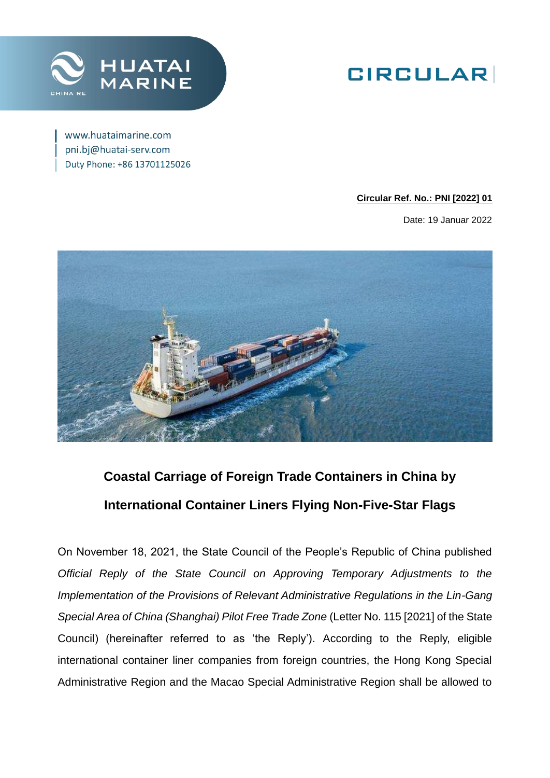

## **GIRCULAR**

www.huataimarine.com pni.bj@huatai-serv.com Duty Phone: +86 13701125026

#### **Circular Ref. No.: PNI [2022] 01**

Date: 19 Januar 2022



## **Coastal Carriage of Foreign Trade Containers in China by International Container Liners Flying Non-Five-Star Flags**

On November 18, 2021, the State Council of the People's Republic of China published *Official Reply of the State Council on Approving Temporary Adjustments to the Implementation of the Provisions of Relevant Administrative Regulations in the Lin-Gang Special Area of China (Shanghai) Pilot Free Trade Zone* (Letter No. 115 [2021] of the State Council) (hereinafter referred to as 'the Reply'). According to the Reply, eligible international container liner companies from foreign countries, the Hong Kong Special Administrative Region and the Macao Special Administrative Region shall be allowed to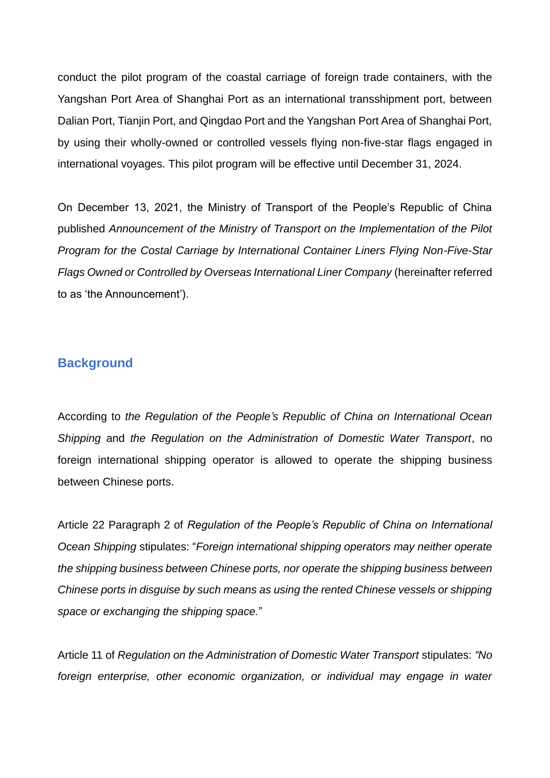conduct the pilot program of the coastal carriage of foreign trade containers, with the Yangshan Port Area of Shanghai Port as an international transshipment port, between Dalian Port, Tianjin Port, and Qingdao Port and the Yangshan Port Area of Shanghai Port, by using their wholly-owned or controlled vessels flying non-five-star flags engaged in international voyages. This pilot program will be effective until December 31, 2024.

On December 13, 2021, the Ministry of Transport of the People's Republic of China published *Announcement of the Ministry of Transport on the Implementation of the Pilot Program for the Costal Carriage by International Container Liners Flying Non-Five-Star Flags Owned or Controlled by Overseas International Liner Company* (hereinafter referred to as 'the Announcement').

#### **Background**

According to *the Regulation of the People's Republic of China on International Ocean Shipping* and *the Regulation on the Administration of Domestic Water Transport*, no foreign international shipping operator is allowed to operate the shipping business between Chinese ports.

Article 22 Paragraph 2 of *Regulation of the People's Republic of China on International Ocean Shipping* stipulates: "*Foreign international shipping operators may neither operate the shipping business between Chinese ports, nor operate the shipping business between Chinese ports in disguise by such means as using the rented Chinese vessels or shipping space or exchanging the shipping space.*"

Article 11 of *Regulation on the Administration of Domestic Water Transport* stipulates: *"No foreign enterprise, other economic organization, or individual may engage in water*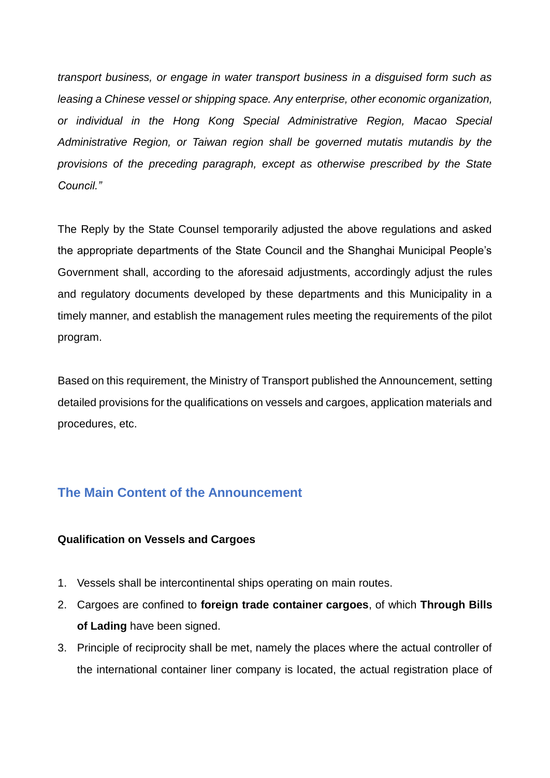*transport business, or engage in water transport business in a disguised form such as leasing a Chinese vessel or shipping space. Any enterprise, other economic organization, or individual in the Hong Kong Special Administrative Region, Macao Special Administrative Region, or Taiwan region shall be governed mutatis mutandis by the provisions of the preceding paragraph, except as otherwise prescribed by the State Council."*

The Reply by the State Counsel temporarily adjusted the above regulations and asked the appropriate departments of the State Council and the Shanghai Municipal People's Government shall, according to the aforesaid adjustments, accordingly adjust the rules and regulatory documents developed by these departments and this Municipality in a timely manner, and establish the management rules meeting the requirements of the pilot program.

Based on this requirement, the Ministry of Transport published the Announcement, setting detailed provisions for the qualifications on vessels and cargoes, application materials and procedures, etc.

#### **The Main Content of the Announcement**

#### **Qualification on Vessels and Cargoes**

- 1. Vessels shall be intercontinental ships operating on main routes.
- 2. Cargoes are confined to **foreign trade container cargoes**, of which **Through Bills of Lading** have been signed.
- 3. Principle of reciprocity shall be met, namely the places where the actual controller of the international container liner company is located, the actual registration place of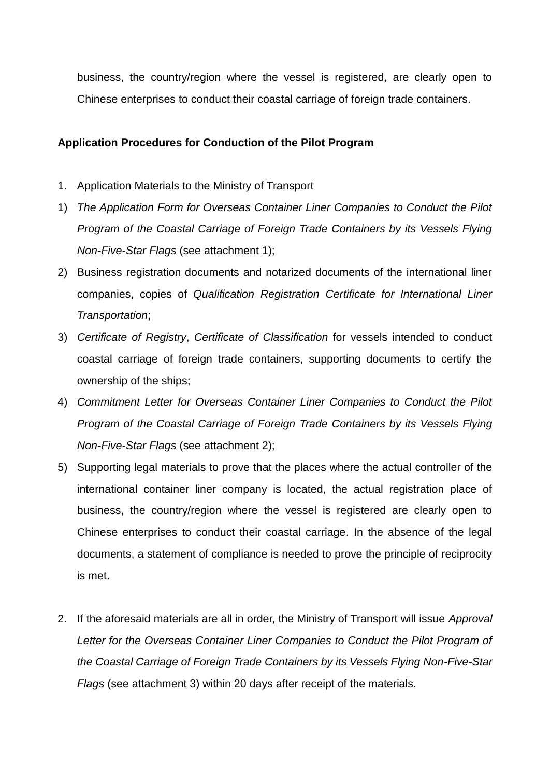business, the country/region where the vessel is registered, are clearly open to Chinese enterprises to conduct their coastal carriage of foreign trade containers.

#### **Application Procedures for Conduction of the Pilot Program**

- 1. Application Materials to the Ministry of Transport
- 1) *The Application Form for Overseas Container Liner Companies to Conduct the Pilot Program of the Coastal Carriage of Foreign Trade Containers by its Vessels Flying Non-Five-Star Flags* (see attachment 1);
- 2) Business registration documents and notarized documents of the international liner companies, copies of *Qualification Registration Certificate for International Liner Transportation*;
- 3) *Certificate of Registry*, *Certificate of Classification* for vessels intended to conduct coastal carriage of foreign trade containers, supporting documents to certify the ownership of the ships;
- 4) *Commitment Letter for Overseas Container Liner Companies to Conduct the Pilot Program of the Coastal Carriage of Foreign Trade Containers by its Vessels Flying Non-Five-Star Flags* (see attachment 2);
- 5) Supporting legal materials to prove that the places where the actual controller of the international container liner company is located, the actual registration place of business, the country/region where the vessel is registered are clearly open to Chinese enterprises to conduct their coastal carriage. In the absence of the legal documents, a statement of compliance is needed to prove the principle of reciprocity is met.
- 2. If the aforesaid materials are all in order, the Ministry of Transport will issue *Approval Letter for the Overseas Container Liner Companies to Conduct the Pilot Program of the Coastal Carriage of Foreign Trade Containers by its Vessels Flying Non-Five-Star Flags* (see attachment 3) within 20 days after receipt of the materials.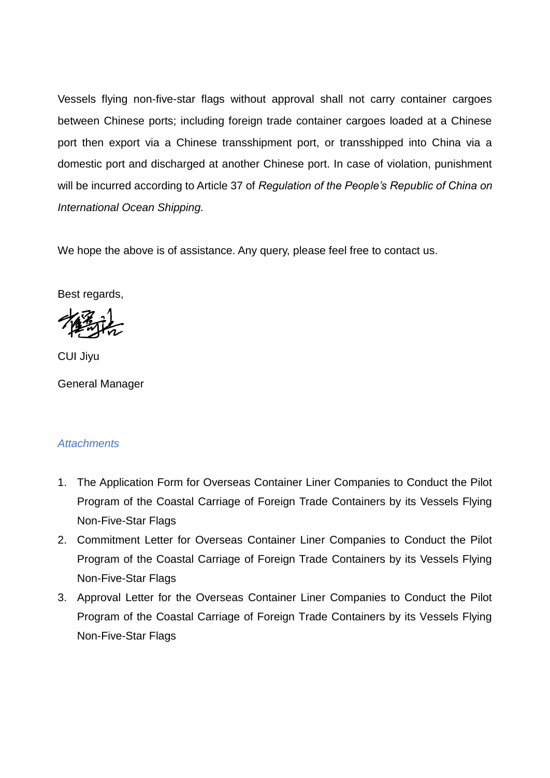Vessels flying non-five-star flags without approval shall not carry container cargoes between Chinese ports; including foreign trade container cargoes loaded at a Chinese port then export via a Chinese transshipment port, or transshipped into China via a domestic port and discharged at another Chinese port. In case of violation, punishment will be incurred according to Article 37 of *Regulation of the People's Republic of China on International Ocean Shipping.*

We hope the above is of assistance. Any query, please feel free to contact us.

Best regards,

CUI Jiyu

General Manager

#### *Attachments*

- 1. The Application Form for Overseas Container Liner Companies to Conduct the Pilot Program of the Coastal Carriage of Foreign Trade Containers by its Vessels Flying Non-Five-Star Flags
- 2. Commitment Letter for Overseas Container Liner Companies to Conduct the Pilot Program of the Coastal Carriage of Foreign Trade Containers by its Vessels Flying Non-Five-Star Flags
- 3. Approval Letter for the Overseas Container Liner Companies to Conduct the Pilot Program of the Coastal Carriage of Foreign Trade Containers by its Vessels Flying Non-Five-Star Flags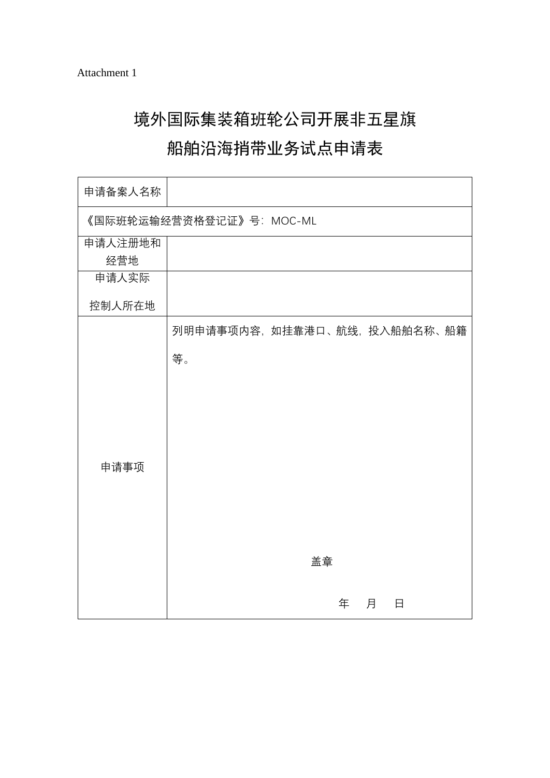## 境外国际集装箱班轮公司开展非五星旗 船舶沿海捎带业务试点申请表

# 申请备案人名称 《国际班轮运输经营资格登记证》号:MOC-ML 申请人注册地和 经营地 申请人实际 控制人所在地 申请事项 列明申请事项内容,如挂靠港口、航线,投入船舶名称、船籍 等。 盖章 年 月 日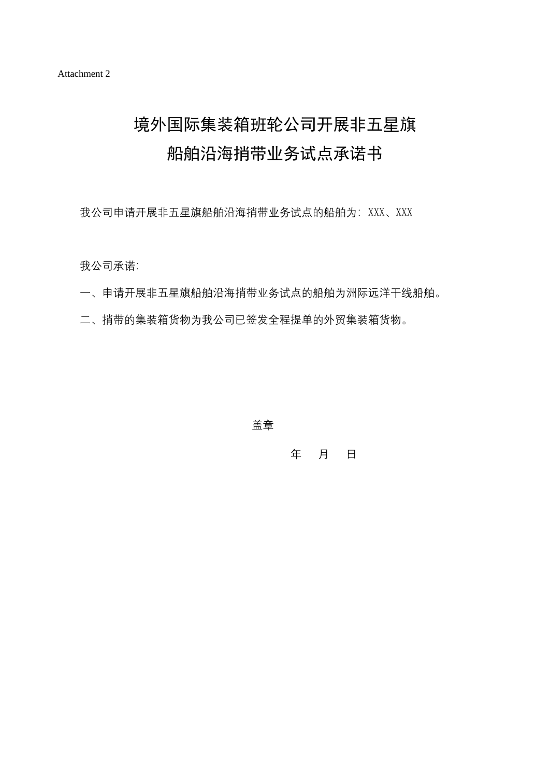## 境外国际集装箱班轮公司开展非五星旗 船舶沿海捎带业务试点承诺书

我公司申请开展非五星旗船舶沿海捎带业务试点的船舶为: XXX、XXX

我公司承诺:

- 一、申请开展非五星旗船舶沿海捎带业务试点的船舶为洲际远洋干线船舶。
- 二、捎带的集装箱货物为我公司已签发全程提单的外贸集装箱货物。

この こうしょう しょうしょう こうしょう 金金 こうしょう

年 月 日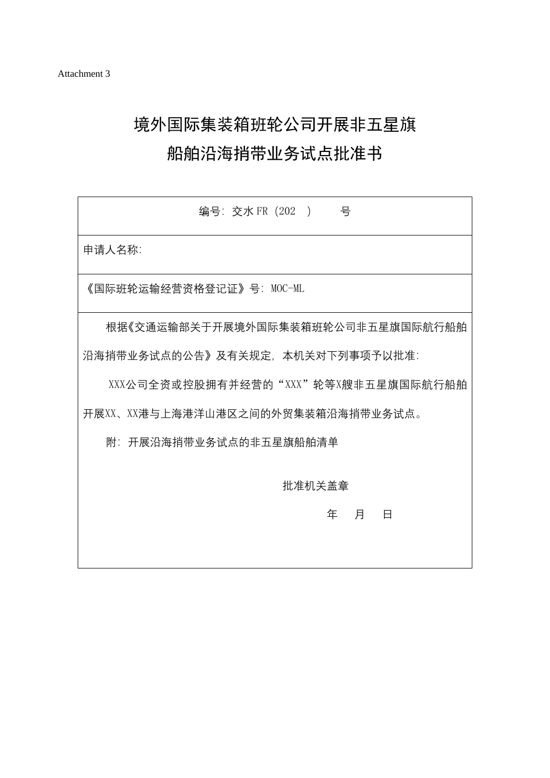## 境外国际集装箱班轮公司开展非五星旗

### 船舶沿海捎带业务试点批准书

| 编号: 交水 FR (202) 号                   |  |  |  |  |  |  |
|-------------------------------------|--|--|--|--|--|--|
| 申请人名称:                              |  |  |  |  |  |  |
| 《国际班轮运输经营资格登记证》号: MOC-ML            |  |  |  |  |  |  |
| 根据《交通运输部关于开展境外国际集装箱班轮公司非五星旗国际航行船舶   |  |  |  |  |  |  |
| 沿海捎带业务试点的公告》及有关规定,本机关对下列事项予以批准:     |  |  |  |  |  |  |
| XXX公司全资或控股拥有并经营的"XXX"轮等X艘非五星旗国际航行船舶 |  |  |  |  |  |  |
| 开展XX、XX港与上海港洋山港区之间的外贸集装箱沿海捎带业务试点。   |  |  |  |  |  |  |
| 附:开展沿海捎带业务试点的非五星旗船舶清单               |  |  |  |  |  |  |
| 批准机关盖章                              |  |  |  |  |  |  |
| こうしょう 年の月 しょうほう<br>$\Box$           |  |  |  |  |  |  |
|                                     |  |  |  |  |  |  |